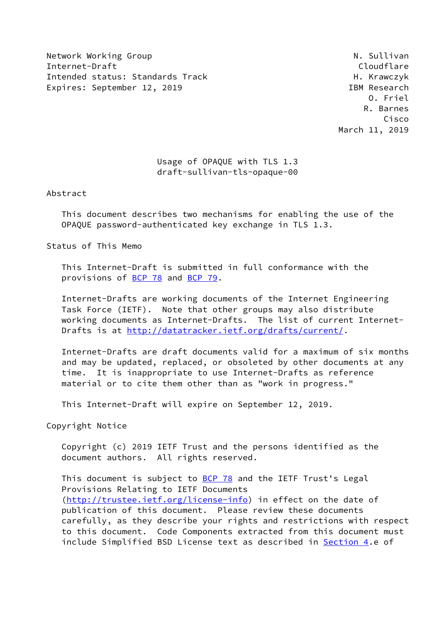Network Working Group Network Working Group Network Network Network Network Network Network Network Network Ne Internet-Draft Cloudflare Intended status: Standards Track H. Krawczyk Expires: September 12, 2019 **IBM** Research

 O. Friel R. Barnes Cisco March 11, 2019

## Usage of OPAQUE with TLS 1.3 draft-sullivan-tls-opaque-00

Abstract

 This document describes two mechanisms for enabling the use of the OPAQUE password-authenticated key exchange in TLS 1.3.

Status of This Memo

 This Internet-Draft is submitted in full conformance with the provisions of [BCP 78](https://datatracker.ietf.org/doc/pdf/bcp78) and [BCP 79](https://datatracker.ietf.org/doc/pdf/bcp79).

 Internet-Drafts are working documents of the Internet Engineering Task Force (IETF). Note that other groups may also distribute working documents as Internet-Drafts. The list of current Internet Drafts is at<http://datatracker.ietf.org/drafts/current/>.

 Internet-Drafts are draft documents valid for a maximum of six months and may be updated, replaced, or obsoleted by other documents at any time. It is inappropriate to use Internet-Drafts as reference material or to cite them other than as "work in progress."

This Internet-Draft will expire on September 12, 2019.

Copyright Notice

 Copyright (c) 2019 IETF Trust and the persons identified as the document authors. All rights reserved.

This document is subject to [BCP 78](https://datatracker.ietf.org/doc/pdf/bcp78) and the IETF Trust's Legal Provisions Relating to IETF Documents [\(http://trustee.ietf.org/license-info](http://trustee.ietf.org/license-info)) in effect on the date of publication of this document. Please review these documents carefully, as they describe your rights and restrictions with respect to this document. Code Components extracted from this document must include Simplified BSD License text as described in [Section 4.](#page-4-0)e of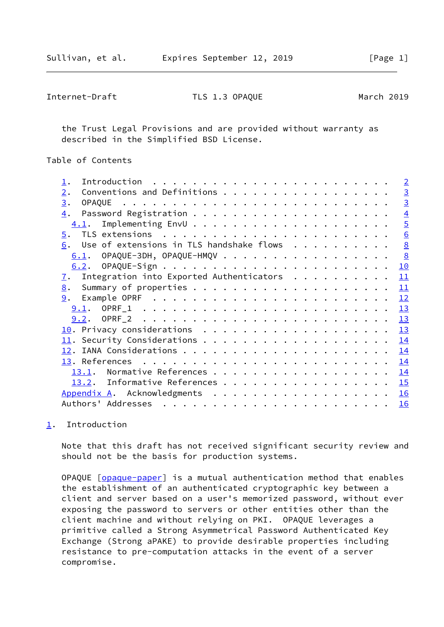<span id="page-1-1"></span>Internet-Draft TLS 1.3 OPAQUE March 2019

 the Trust Legal Provisions and are provided without warranty as described in the Simplified BSD License.

Table of Contents

|                                                              | $\sqrt{2}$     |
|--------------------------------------------------------------|----------------|
| Conventions and Definitions<br>2.                            | $\overline{3}$ |
| 3.                                                           | $\overline{3}$ |
| 4.                                                           | $\overline{4}$ |
| 4.1.                                                         | $\overline{5}$ |
| $\overline{5}$ .                                             | 6              |
| 6. Use of extensions in TLS handshake flows                  | 8              |
| $6.1.$ OPAQUE-3DH, OPAQUE-HMQV                               | $\frac{8}{2}$  |
|                                                              | 10             |
| Integration into Exported Authenticators<br>$\overline{1}$ . | 11             |
|                                                              | 11             |
|                                                              | 12             |
| 9.1.                                                         | 13             |
|                                                              | 13             |
|                                                              | 13             |
|                                                              | 14             |
|                                                              | 14             |
|                                                              | 14             |
| Normative References<br>13.1.                                | <u> 14</u>     |
| 13.2. Informative References                                 | 15             |
| Appendix A. Acknowledgments                                  | 16             |
|                                                              | 16             |
|                                                              |                |

## <span id="page-1-0"></span>[1](#page-1-0). Introduction

 Note that this draft has not received significant security review and should not be the basis for production systems.

 OPAQUE [\[opaque-paper](#page-16-1)] is a mutual authentication method that enables the establishment of an authenticated cryptographic key between a client and server based on a user's memorized password, without ever exposing the password to servers or other entities other than the client machine and without relying on PKI. OPAQUE leverages a primitive called a Strong Asymmetrical Password Authenticated Key Exchange (Strong aPAKE) to provide desirable properties including resistance to pre-computation attacks in the event of a server compromise.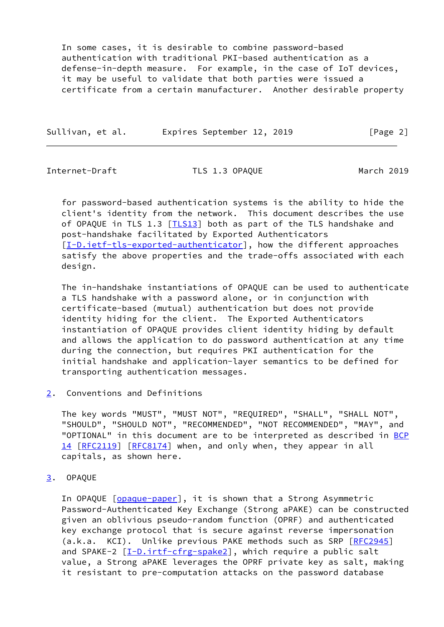In some cases, it is desirable to combine password-based authentication with traditional PKI-based authentication as a defense-in-depth measure. For example, in the case of IoT devices, it may be useful to validate that both parties were issued a certificate from a certain manufacturer. Another desirable property

| Sullivan, et al. |  |                            |  |          |  |
|------------------|--|----------------------------|--|----------|--|
|                  |  | Expires September 12, 2019 |  | [Page 2] |  |

<span id="page-2-1"></span>Internet-Draft TLS 1.3 OPAQUE March 2019

 for password-based authentication systems is the ability to hide the client's identity from the network. This document describes the use of OPAQUE in TLS 1.3 [\[TLS13\]](#page-16-2) both as part of the TLS handshake and post-handshake facilitated by Exported Authenticators [\[I-D.ietf-tls-exported-authenticator](#page-15-3)], how the different approaches satisfy the above properties and the trade-offs associated with each design.

 The in-handshake instantiations of OPAQUE can be used to authenticate a TLS handshake with a password alone, or in conjunction with certificate-based (mutual) authentication but does not provide identity hiding for the client. The Exported Authenticators instantiation of OPAQUE provides client identity hiding by default and allows the application to do password authentication at any time during the connection, but requires PKI authentication for the initial handshake and application-layer semantics to be defined for transporting authentication messages.

<span id="page-2-0"></span>[2](#page-2-0). Conventions and Definitions

 The key words "MUST", "MUST NOT", "REQUIRED", "SHALL", "SHALL NOT", "SHOULD", "SHOULD NOT", "RECOMMENDED", "NOT RECOMMENDED", "MAY", and "OPTIONAL" in this document are to be interpreted as described in [BCP](https://datatracker.ietf.org/doc/pdf/bcp14) [14](https://datatracker.ietf.org/doc/pdf/bcp14) [[RFC2119\]](https://datatracker.ietf.org/doc/pdf/rfc2119) [\[RFC8174](https://datatracker.ietf.org/doc/pdf/rfc8174)] when, and only when, they appear in all capitals, as shown here.

<span id="page-2-2"></span>[3](#page-2-2). OPAQUE

In OPAQUE [[opaque-paper\]](#page-16-1), it is shown that a Strong Asymmetric Password-Authenticated Key Exchange (Strong aPAKE) can be constructed given an oblivious pseudo-random function (OPRF) and authenticated key exchange protocol that is secure against reverse impersonation (a.k.a. KCI). Unlike previous PAKE methods such as SRP [\[RFC2945](https://datatracker.ietf.org/doc/pdf/rfc2945)] and SPAKE-2 [\[I-D.irtf-cfrg-spake2](#page-16-3)], which require a public salt value, a Strong aPAKE leverages the OPRF private key as salt, making it resistant to pre-computation attacks on the password database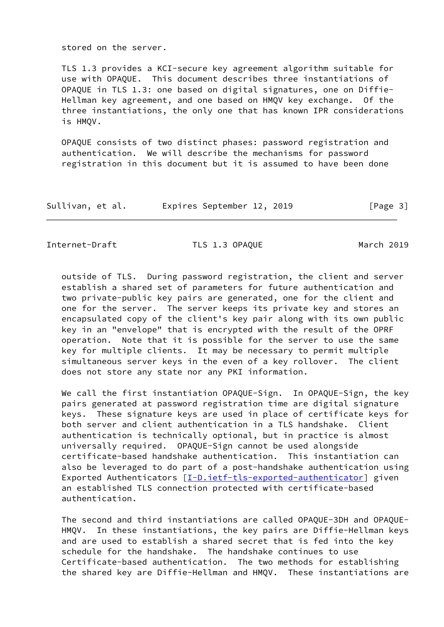stored on the server.

 TLS 1.3 provides a KCI-secure key agreement algorithm suitable for use with OPAQUE. This document describes three instantiations of OPAQUE in TLS 1.3: one based on digital signatures, one on Diffie- Hellman key agreement, and one based on HMQV key exchange. Of the three instantiations, the only one that has known IPR considerations is HMQV.

 OPAQUE consists of two distinct phases: password registration and authentication. We will describe the mechanisms for password registration in this document but it is assumed to have been done

| Sullivan, et al. |  | Expires September 12, 2019 |  |  | [Page 3] |  |
|------------------|--|----------------------------|--|--|----------|--|
|------------------|--|----------------------------|--|--|----------|--|

<span id="page-3-0"></span>Internet-Draft TLS 1.3 OPAQUE March 2019

 outside of TLS. During password registration, the client and server establish a shared set of parameters for future authentication and two private-public key pairs are generated, one for the client and one for the server. The server keeps its private key and stores an encapsulated copy of the client's key pair along with its own public key in an "envelope" that is encrypted with the result of the OPRF operation. Note that it is possible for the server to use the same key for multiple clients. It may be necessary to permit multiple simultaneous server keys in the even of a key rollover. The client does not store any state nor any PKI information.

We call the first instantiation OPAOUE-Sign. In OPAOUE-Sign, the key pairs generated at password registration time are digital signature keys. These signature keys are used in place of certificate keys for both server and client authentication in a TLS handshake. Client authentication is technically optional, but in practice is almost universally required. OPAQUE-Sign cannot be used alongside certificate-based handshake authentication. This instantiation can also be leveraged to do part of a post-handshake authentication using Exported Authenticators [\[I-D.ietf-tls-exported-authenticator](#page-15-3)] given an established TLS connection protected with certificate-based authentication.

 The second and third instantiations are called OPAQUE-3DH and OPAQUE- HMQV. In these instantiations, the key pairs are Diffie-Hellman keys and are used to establish a shared secret that is fed into the key schedule for the handshake. The handshake continues to use Certificate-based authentication. The two methods for establishing the shared key are Diffie-Hellman and HMQV. These instantiations are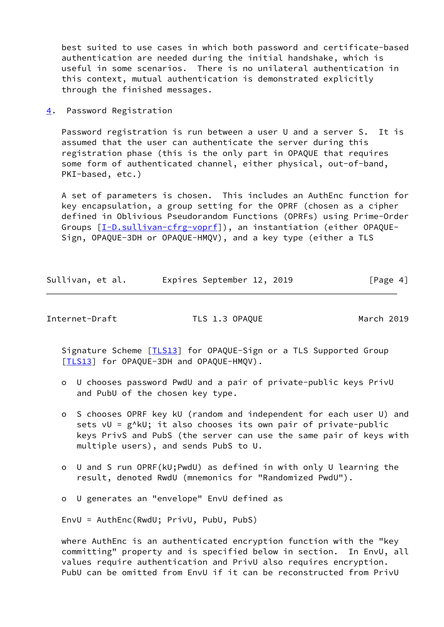best suited to use cases in which both password and certificate-based authentication are needed during the initial handshake, which is useful in some scenarios. There is no unilateral authentication in this context, mutual authentication is demonstrated explicitly through the finished messages.

<span id="page-4-0"></span>[4](#page-4-0). Password Registration

 Password registration is run between a user U and a server S. It is assumed that the user can authenticate the server during this registration phase (this is the only part in OPAQUE that requires some form of authenticated channel, either physical, out-of-band, PKI-based, etc.)

 A set of parameters is chosen. This includes an AuthEnc function for key encapsulation, a group setting for the OPRF (chosen as a cipher defined in Oblivious Pseudorandom Functions (OPRFs) using Prime-Order Groups [\[I-D.sullivan-cfrg-voprf](#page-16-4)]), an instantiation (either OPAQUE- Sign, OPAQUE-3DH or OPAQUE-HMQV), and a key type (either a TLS

| Sullivan, et al. | Expires September 12, 2019 |  | [Page 4] |  |
|------------------|----------------------------|--|----------|--|
|                  |                            |  |          |  |

<span id="page-4-1"></span>Internet-Draft TLS 1.3 OPAQUE March 2019

Signature Scheme [*TLS13*] for OPAQUE-Sign or a TLS Supported Group [\[TLS13](#page-16-2)] for OPAQUE-3DH and OPAQUE-HMQV).

- o U chooses password PwdU and a pair of private-public keys PrivU and PubU of the chosen key type.
- o S chooses OPRF key kU (random and independent for each user U) and sets vU = g^kU; it also chooses its own pair of private-public keys PrivS and PubS (the server can use the same pair of keys with multiple users), and sends PubS to U.
- o U and S run OPRF(kU;PwdU) as defined in with only U learning the result, denoted RwdU (mnemonics for "Randomized PwdU").
- o U generates an "envelope" EnvU defined as

EnvU = AuthEnc(RwdU; PrivU, PubU, PubS)

 where AuthEnc is an authenticated encryption function with the "key committing" property and is specified below in section. In EnvU, all values require authentication and PrivU also requires encryption. PubU can be omitted from EnvU if it can be reconstructed from PrivU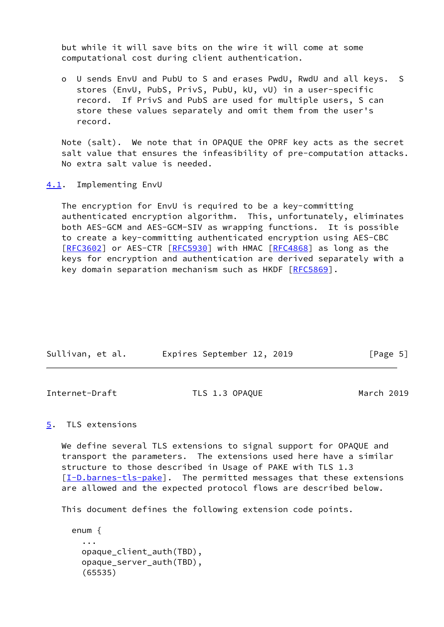but while it will save bits on the wire it will come at some computational cost during client authentication.

 o U sends EnvU and PubU to S and erases PwdU, RwdU and all keys. S stores (EnvU, PubS, PrivS, PubU, kU, vU) in a user-specific record. If PrivS and PubS are used for multiple users, S can store these values separately and omit them from the user's record.

 Note (salt). We note that in OPAQUE the OPRF key acts as the secret salt value that ensures the infeasibility of pre-computation attacks. No extra salt value is needed.

<span id="page-5-0"></span>[4.1](#page-5-0). Implementing EnvU

 The encryption for EnvU is required to be a key-committing authenticated encryption algorithm. This, unfortunately, eliminates both AES-GCM and AES-GCM-SIV as wrapping functions. It is possible to create a key-committing authenticated encryption using AES-CBC [\[RFC3602](https://datatracker.ietf.org/doc/pdf/rfc3602)] or AES-CTR [\[RFC5930](https://datatracker.ietf.org/doc/pdf/rfc5930)] with HMAC [\[RFC4868](https://datatracker.ietf.org/doc/pdf/rfc4868)] as long as the keys for encryption and authentication are derived separately with a key domain separation mechanism such as HKDF [\[RFC5869](https://datatracker.ietf.org/doc/pdf/rfc5869)].

| Sullivan, et al. | Expires September 12, 2019 |  | [Page 5] |  |
|------------------|----------------------------|--|----------|--|
|                  |                            |  |          |  |

<span id="page-5-2"></span>

<span id="page-5-1"></span>[5](#page-5-1). TLS extensions

 We define several TLS extensions to signal support for OPAQUE and transport the parameters. The extensions used here have a similar structure to those described in Usage of PAKE with TLS 1.3 [\[I-D.barnes-tls-pake](#page-16-5)]. The permitted messages that these extensions are allowed and the expected protocol flows are described below.

This document defines the following extension code points.

```
 enum {
   ...
   opaque_client_auth(TBD),
   opaque_server_auth(TBD),
   (65535)
```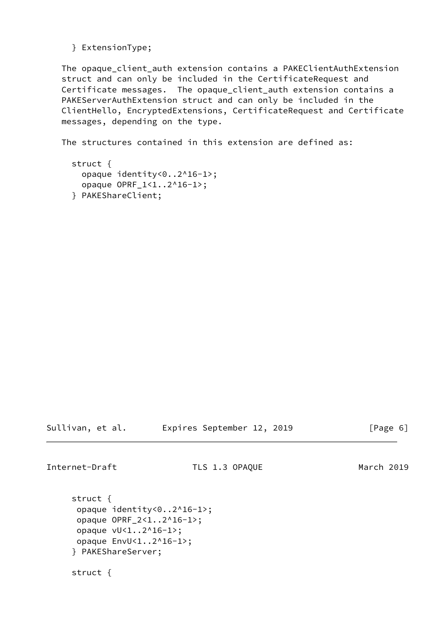} ExtensionType;

 The opaque\_client\_auth extension contains a PAKEClientAuthExtension struct and can only be included in the CertificateRequest and Certificate messages. The opaque\_client\_auth extension contains a PAKEServerAuthExtension struct and can only be included in the ClientHello, EncryptedExtensions, CertificateRequest and Certificate messages, depending on the type.

The structures contained in this extension are defined as:

```
 struct {
   opaque identity<0..2^16-1>;
   opaque OPRF_1<1..2^16-1>;
 } PAKEShareClient;
```
Sullivan, et al. Expires September 12, 2019 [Page 6]

Internet-Draft TLS 1.3 OPAQUE March 2019

 struct { opaque identity<0..2^16-1>; opaque OPRF\_2<1..2^16-1>; opaque vU<1..2^16-1>; opaque EnvU<1..2^16-1>; } PAKEShareServer;

struct {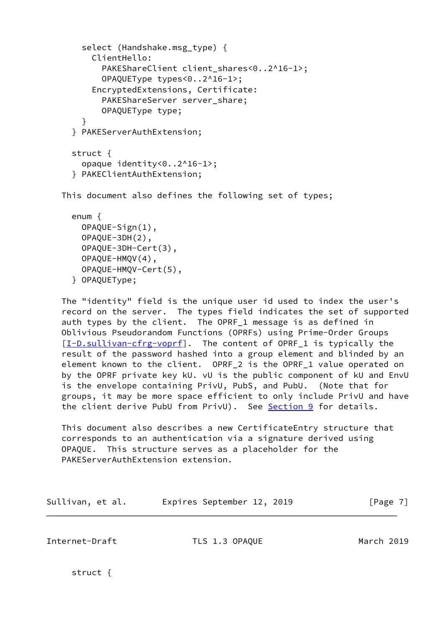```
select (Handshake.msg type) {
       ClientHello:
        PAKEShareClient client shares<0..2^16-1>;
         OPAQUEType types<0..2^16-1>;
       EncryptedExtensions, Certificate:
        PAKEShareServer server share;
         OPAQUEType type;
     }
   } PAKEServerAuthExtension;
   struct {
     opaque identity<0..2^16-1>;
   } PAKEClientAuthExtension;
 This document also defines the following set of types;
   enum {
     OPAQUE-Sign(1),
```

```
 OPAQUE-3DH(2),
   OPAQUE-3DH-Cert(3),
   OPAQUE-HMQV(4),
   OPAQUE-HMQV-Cert(5),
 } OPAQUEType;
```
 The "identity" field is the unique user id used to index the user's record on the server. The types field indicates the set of supported auth types by the client. The OPRF\_1 message is as defined in Oblivious Pseudorandom Functions (OPRFs) using Prime-Order Groups [\[I-D.sullivan-cfrg-voprf](#page-16-4)]. The content of OPRF\_1 is typically the result of the password hashed into a group element and blinded by an element known to the client. OPRF\_2 is the OPRF\_1 value operated on by the OPRF private key kU. vU is the public component of kU and EnvU is the envelope containing PrivU, PubS, and PubU. (Note that for groups, it may be more space efficient to only include PrivU and have the client derive PubU from PrivU). See [Section 9](#page-12-1) for details.

 This document also describes a new CertificateEntry structure that corresponds to an authentication via a signature derived using OPAQUE. This structure serves as a placeholder for the PAKEServerAuthExtension extension.

| Sullivan, et al. |  | Expires September 12, 2019 |  |  | [Page 7] |
|------------------|--|----------------------------|--|--|----------|
|------------------|--|----------------------------|--|--|----------|

<span id="page-7-0"></span>Internet-Draft TLS 1.3 OPAQUE March 2019

struct {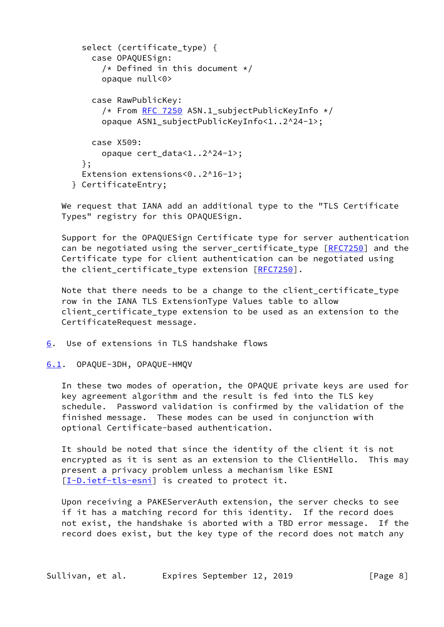```
 select (certificate_type) {
     case OPAQUESign:
      /* Defined in this document */ opaque null<0>
     case RawPublicKey:
       RFC 7250 ASN.1 subjectPublicKeyInfo */ opaque ASN1_subjectPublicKeyInfo<1..2^24-1>;
     case X509:
       opaque cert_data<1..2^24-1>;
   };
   Extension extensions<0..2^16-1>;
 } CertificateEntry;
```
 We request that IANA add an additional type to the "TLS Certificate Types" registry for this OPAQUESign.

 Support for the OPAQUESign Certificate type for server authentication can be negotiated using the server certificate type [\[RFC7250](https://datatracker.ietf.org/doc/pdf/rfc7250)] and the Certificate type for client authentication can be negotiated using the client\_certificate\_type extension [[RFC7250](https://datatracker.ietf.org/doc/pdf/rfc7250)].

 Note that there needs to be a change to the client\_certificate\_type row in the IANA TLS ExtensionType Values table to allow client\_certificate\_type extension to be used as an extension to the CertificateRequest message.

<span id="page-8-0"></span>[6](#page-8-0). Use of extensions in TLS handshake flows

<span id="page-8-1"></span>[6.1](#page-8-1). OPAQUE-3DH, OPAQUE-HMQV

 In these two modes of operation, the OPAQUE private keys are used for key agreement algorithm and the result is fed into the TLS key schedule. Password validation is confirmed by the validation of the finished message. These modes can be used in conjunction with optional Certificate-based authentication.

 It should be noted that since the identity of the client it is not encrypted as it is sent as an extension to the ClientHello. This may present a privacy problem unless a mechanism like ESNI [\[I-D.ietf-tls-esni](#page-16-6)] is created to protect it.

 Upon receiving a PAKEServerAuth extension, the server checks to see if it has a matching record for this identity. If the record does not exist, the handshake is aborted with a TBD error message. If the record does exist, but the key type of the record does not match any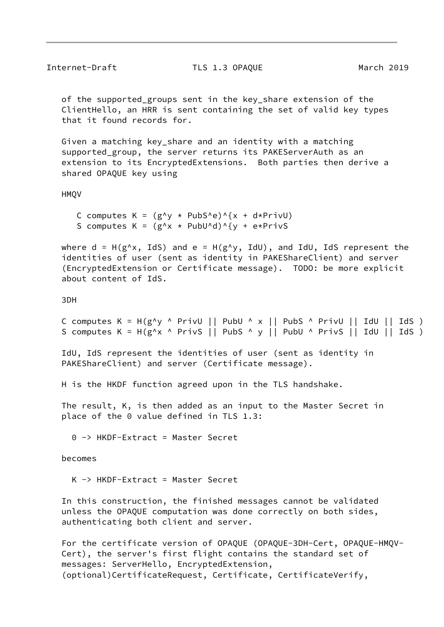of the supported\_groups sent in the key\_share extension of the ClientHello, an HRR is sent containing the set of valid key types that it found records for.

 Given a matching key\_share and an identity with a matching supported group, the server returns its PAKEServerAuth as an extension to its EncryptedExtensions. Both parties then derive a shared OPAQUE key using

HMQV

C computes  $K = (g^y \times Pubs^e)^{x}$  + d\*PrivU) S computes  $K = (g^x \times g^x + P^x \cdot g^x)$  + e\*PrivS

where  $d = H(g^x, IdS)$  and  $e = H(g^x, IdU)$ , and IdU, IdS represent the identities of user (sent as identity in PAKEShareClient) and server (EncryptedExtension or Certificate message). TODO: be more explicit about content of IdS.

3DH

C computes  $K = H(g^y \land PrivU || Pubb \land x || PbS \land PrivU || IdU || IdS)$ S computes  $K = H(g^x \wedge PrivS || Pubs \wedge y || PubU \wedge PrivS || IdU || IdS)$ 

 IdU, IdS represent the identities of user (sent as identity in PAKEShareClient) and server (Certificate message).

H is the HKDF function agreed upon in the TLS handshake.

 The result, K, is then added as an input to the Master Secret in place of the 0 value defined in TLS 1.3:

0 -> HKDF-Extract = Master Secret

becomes

K -> HKDF-Extract = Master Secret

 In this construction, the finished messages cannot be validated unless the OPAQUE computation was done correctly on both sides, authenticating both client and server.

 For the certificate version of OPAQUE (OPAQUE-3DH-Cert, OPAQUE-HMQV- Cert), the server's first flight contains the standard set of messages: ServerHello, EncryptedExtension, (optional)CertificateRequest, Certificate, CertificateVerify,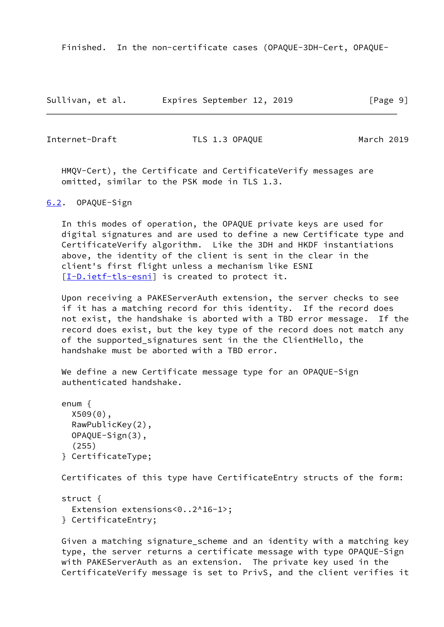Finished. In the non-certificate cases (OPAQUE-3DH-Cert, OPAQUE-

| Sullivan, et al. | Expires September 12, 2019 | [Page 9] |
|------------------|----------------------------|----------|
|------------------|----------------------------|----------|

<span id="page-10-1"></span>Internet-Draft TLS 1.3 OPAQUE March 2019

 HMQV-Cert), the Certificate and CertificateVerify messages are omitted, similar to the PSK mode in TLS 1.3.

<span id="page-10-0"></span>[6.2](#page-10-0). OPAQUE-Sign

 In this modes of operation, the OPAQUE private keys are used for digital signatures and are used to define a new Certificate type and CertificateVerify algorithm. Like the 3DH and HKDF instantiations above, the identity of the client is sent in the clear in the client's first flight unless a mechanism like ESNI [\[I-D.ietf-tls-esni](#page-16-6)] is created to protect it.

 Upon receiving a PAKEServerAuth extension, the server checks to see if it has a matching record for this identity. If the record does not exist, the handshake is aborted with a TBD error message. If the record does exist, but the key type of the record does not match any of the supported\_signatures sent in the the ClientHello, the handshake must be aborted with a TBD error.

 We define a new Certificate message type for an OPAQUE-Sign authenticated handshake.

```
 enum {
   X509(0),
   RawPublicKey(2),
   OPAQUE-Sign(3),
   (255)
 } CertificateType;
```
Certificates of this type have CertificateEntry structs of the form:

 struct { Extension extensions<0..2^16-1>; } CertificateEntry;

 Given a matching signature\_scheme and an identity with a matching key type, the server returns a certificate message with type OPAQUE-Sign with PAKEServerAuth as an extension. The private key used in the CertificateVerify message is set to PrivS, and the client verifies it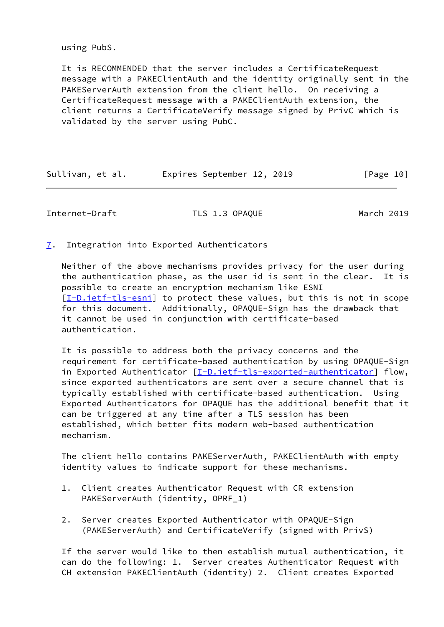using PubS.

 It is RECOMMENDED that the server includes a CertificateRequest message with a PAKEClientAuth and the identity originally sent in the PAKEServerAuth extension from the client hello. On receiving a CertificateRequest message with a PAKEClientAuth extension, the client returns a CertificateVerify message signed by PrivC which is validated by the server using PubC.

| Sullivan, et al. |  | Expires September 12, 2019 |  |  | [Page 10] |
|------------------|--|----------------------------|--|--|-----------|
|------------------|--|----------------------------|--|--|-----------|

<span id="page-11-1"></span>Internet-Draft TLS 1.3 OPAQUE March 2019

<span id="page-11-0"></span>[7](#page-11-0). Integration into Exported Authenticators

 Neither of the above mechanisms provides privacy for the user during the authentication phase, as the user id is sent in the clear. It is possible to create an encryption mechanism like ESNI [\[I-D.ietf-tls-esni](#page-16-6)] to protect these values, but this is not in scope for this document. Additionally, OPAQUE-Sign has the drawback that it cannot be used in conjunction with certificate-based authentication.

 It is possible to address both the privacy concerns and the requirement for certificate-based authentication by using OPAQUE-Sign in Exported Authenticator [[I-D.ietf-tls-exported-authenticator](#page-15-3)] flow, since exported authenticators are sent over a secure channel that is typically established with certificate-based authentication. Using Exported Authenticators for OPAQUE has the additional benefit that it can be triggered at any time after a TLS session has been established, which better fits modern web-based authentication mechanism.

 The client hello contains PAKEServerAuth, PAKEClientAuth with empty identity values to indicate support for these mechanisms.

- 1. Client creates Authenticator Request with CR extension PAKEServerAuth (identity, OPRF\_1)
- 2. Server creates Exported Authenticator with OPAQUE-Sign (PAKEServerAuth) and CertificateVerify (signed with PrivS)

 If the server would like to then establish mutual authentication, it can do the following: 1. Server creates Authenticator Request with CH extension PAKEClientAuth (identity) 2. Client creates Exported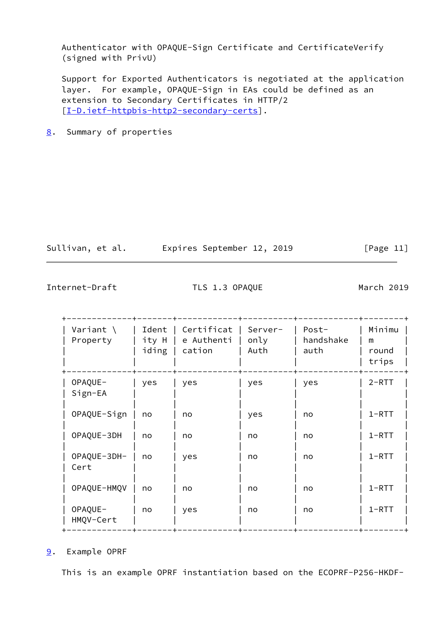Authenticator with OPAQUE-Sign Certificate and CertificateVerify (signed with PrivU)

 Support for Exported Authenticators is negotiated at the application layer. For example, OPAQUE-Sign in EAs could be defined as an extension to Secondary Certificates in HTTP/2 [\[I-D.ietf-httpbis-http2-secondary-certs](#page-15-4)].

<span id="page-12-0"></span>[8](#page-12-0). Summary of properties

| Sullivan, et al. | Expires September 12, 2019 |  | [Page 11] |
|------------------|----------------------------|--|-----------|

<span id="page-12-2"></span>Internet-Draft TLS 1.3 OPAQUE March 2019

| Variant $\langle$<br>Property | Ident<br>ity H<br>iding | Certificat<br>e Authenti<br>cation | Server-<br>only<br>Auth | Post-<br>handshake<br>auth | Minimu<br>m<br>round<br>trips |
|-------------------------------|-------------------------|------------------------------------|-------------------------|----------------------------|-------------------------------|
| OPAQUE-<br>$Sign-EA$          | yes                     | yes                                | yes                     | yes                        | $2 - RTT$                     |
| OPAQUE-Sign                   | no                      | no                                 | yes                     | no                         | $1 - RTT$                     |
| OPAQUE-3DH                    | no                      | no                                 | no                      | no                         | $1 - RTT$                     |
| OPAQUE-3DH-<br>Cert           | no                      | yes                                | no                      | no                         | $1 - RTT$                     |
| OPAQUE-HMQV                   | no                      | no                                 | no                      | no                         | $1 - RTT$                     |
| OPAQUE-<br>HMQV-Cert          | no                      | yes                                | no                      | no                         | $1 - RTT$                     |

<span id="page-12-1"></span>[9](#page-12-1). Example OPRF

This is an example OPRF instantiation based on the ECOPRF-P256-HKDF-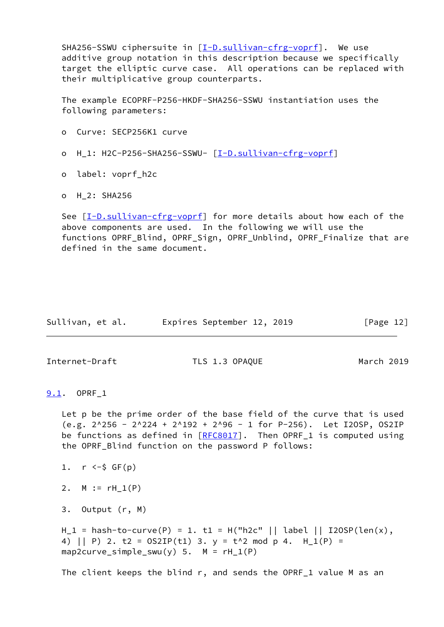SHA256-SSWU ciphersuite in [[I-D.sullivan-cfrg-voprf\]](#page-16-4). We use additive group notation in this description because we specifically target the elliptic curve case. All operations can be replaced with their multiplicative group counterparts.

 The example ECOPRF-P256-HKDF-SHA256-SSWU instantiation uses the following parameters:

- o Curve: SECP256K1 curve
- o H\_1: H2C-P256-SHA256-SSWU- [[I-D.sullivan-cfrg-voprf](#page-16-4)]
- o label: voprf\_h2c
- o H\_2: SHA256

 See [\[I-D.sullivan-cfrg-voprf](#page-16-4)] for more details about how each of the above components are used. In the following we will use the functions OPRF\_Blind, OPRF\_Sign, OPRF\_Unblind, OPRF\_Finalize that are defined in the same document.

| Sullivan, et al. | Expires September 12, 2019 |  | [Page 12] |
|------------------|----------------------------|--|-----------|
|------------------|----------------------------|--|-----------|

<span id="page-13-1"></span>Internet-Draft TLS 1.3 OPAQUE March 2019

<span id="page-13-0"></span>[9.1](#page-13-0). OPRF\_1

 Let p be the prime order of the base field of the curve that is used  $(e.g. 2^256 - 2^224 + 2^192 + 2^06 - 1$  for P-256). Let I2OSP, OS2IP be functions as defined in  $[REC8017]$ . Then OPRF<sub>1</sub> is computed using the OPRF\_Blind function on the password P follows:

- 1.  $r \le -\frac{1}{2}$  GF(p)
- 2.  $M := rH_1(P)$
- 3. Output (r, M)

 $H_1 =$  hash-to-curve(P) = 1. t1 = H("h2c" || label || I2OSP(len(x), 4) || P) 2. t2 =  $OS2IP(t1)$  3. y = t^2 mod p 4. H\_1(P) = map2curve\_simple\_swu(y)  $5. M = rH_1(P)$ 

The client keeps the blind r, and sends the OPRF\_1 value M as an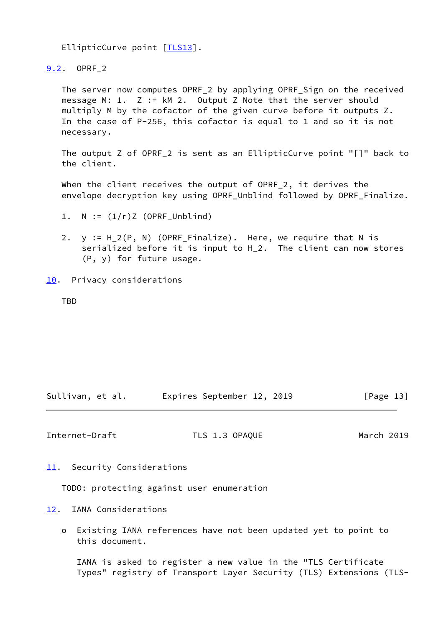EllipticCurve point [\[TLS13](#page-16-2)].

<span id="page-14-0"></span>[9.2](#page-14-0). OPRF\_2

 The server now computes OPRF\_2 by applying OPRF\_Sign on the received message M: 1. Z := kM 2. Output Z Note that the server should multiply M by the cofactor of the given curve before it outputs Z. In the case of P-256, this cofactor is equal to 1 and so it is not necessary.

 The output Z of OPRF\_2 is sent as an EllipticCurve point "[]" back to the client.

 When the client receives the output of OPRF\_2, it derives the envelope decryption key using OPRF\_Unblind followed by OPRF\_Finalize.

- 2. y := H\_2(P, N) (OPRF\_Finalize). Here, we require that N is serialized before it is input to H\_2. The client can now stores (P, y) for future usage.
- <span id="page-14-1"></span>[10.](#page-14-1) Privacy considerations

TBD

Sullivan, et al. Expires September 12, 2019 [Page 13]

<span id="page-14-3"></span>Internet-Draft TLS 1.3 OPAQUE March 2019

<span id="page-14-2"></span>[11.](#page-14-2) Security Considerations

TODO: protecting against user enumeration

<span id="page-14-4"></span>[12.](#page-14-4) IANA Considerations

 o Existing IANA references have not been updated yet to point to this document.

 IANA is asked to register a new value in the "TLS Certificate Types" registry of Transport Layer Security (TLS) Extensions (TLS-

<sup>1.</sup>  $N := (1/r)Z$  (OPRF\_Unblind)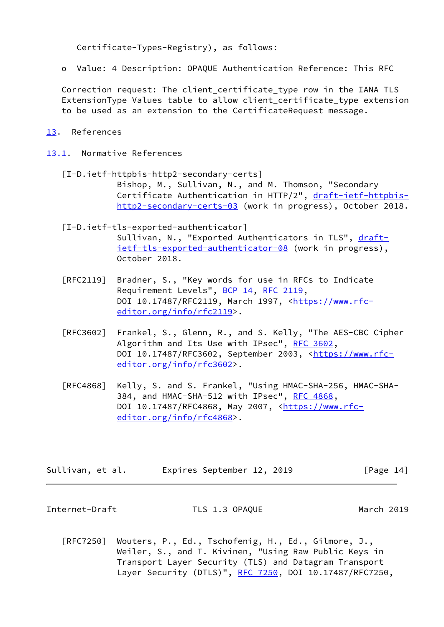Certificate-Types-Registry), as follows:

o Value: 4 Description: OPAQUE Authentication Reference: This RFC

 Correction request: The client\_certificate\_type row in the IANA TLS ExtensionType Values table to allow client certificate type extension to be used as an extension to the CertificateRequest message.

- <span id="page-15-0"></span>[13.](#page-15-0) References
- <span id="page-15-4"></span><span id="page-15-3"></span><span id="page-15-1"></span>[13.1](#page-15-1). Normative References
	- [I-D.ietf-httpbis-http2-secondary-certs] Bishop, M., Sullivan, N., and M. Thomson, "Secondary Certificate Authentication in HTTP/2", [draft-ietf-httpbis](https://datatracker.ietf.org/doc/pdf/draft-ietf-httpbis-http2-secondary-certs-03) [http2-secondary-certs-03](https://datatracker.ietf.org/doc/pdf/draft-ietf-httpbis-http2-secondary-certs-03) (work in progress), October 2018.
	- [I-D.ietf-tls-exported-authenticator] Sullivan, N., "Exported Authenticators in TLS", [draft](https://datatracker.ietf.org/doc/pdf/draft-ietf-tls-exported-authenticator-08) [ietf-tls-exported-authenticator-08](https://datatracker.ietf.org/doc/pdf/draft-ietf-tls-exported-authenticator-08) (work in progress), October 2018.
	- [RFC2119] Bradner, S., "Key words for use in RFCs to Indicate Requirement Levels", [BCP 14](https://datatracker.ietf.org/doc/pdf/bcp14), [RFC 2119](https://datatracker.ietf.org/doc/pdf/rfc2119), DOI 10.17487/RFC2119, March 1997, [<https://www.rfc](https://www.rfc-editor.org/info/rfc2119) [editor.org/info/rfc2119](https://www.rfc-editor.org/info/rfc2119)>.
	- [RFC3602] Frankel, S., Glenn, R., and S. Kelly, "The AES-CBC Cipher Algorithm and Its Use with IPsec", [RFC 3602](https://datatracker.ietf.org/doc/pdf/rfc3602), DOI 10.17487/RFC3602, September 2003, [<https://www.rfc](https://www.rfc-editor.org/info/rfc3602) [editor.org/info/rfc3602](https://www.rfc-editor.org/info/rfc3602)>.
	- [RFC4868] Kelly, S. and S. Frankel, "Using HMAC-SHA-256, HMAC-SHA- 384, and HMAC-SHA-512 with IPsec", [RFC 4868](https://datatracker.ietf.org/doc/pdf/rfc4868), DOI 10.17487/RFC4868, May 2007, <[https://www.rfc](https://www.rfc-editor.org/info/rfc4868) [editor.org/info/rfc4868](https://www.rfc-editor.org/info/rfc4868)>.

Sullivan, et al. Expires September 12, 2019 [Page 14]

<span id="page-15-2"></span>Internet-Draft TLS 1.3 OPAQUE March 2019

 [RFC7250] Wouters, P., Ed., Tschofenig, H., Ed., Gilmore, J., Weiler, S., and T. Kivinen, "Using Raw Public Keys in Transport Layer Security (TLS) and Datagram Transport Layer Security (DTLS)", [RFC 7250,](https://datatracker.ietf.org/doc/pdf/rfc7250) DOI 10.17487/RFC7250,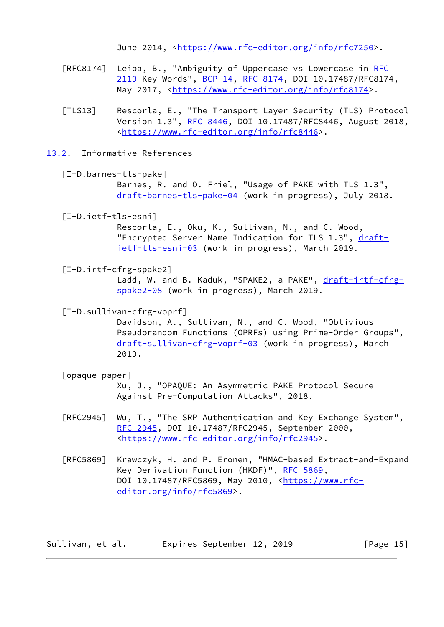June 2014, <<https://www.rfc-editor.org/info/rfc7250>>.

- [RFC8174] Leiba, B., "Ambiguity of Uppercase vs Lowercase in [RFC](https://datatracker.ietf.org/doc/pdf/rfc2119) [2119](https://datatracker.ietf.org/doc/pdf/rfc2119) Key Words", [BCP 14](https://datatracker.ietf.org/doc/pdf/bcp14), [RFC 8174,](https://datatracker.ietf.org/doc/pdf/rfc8174) DOI 10.17487/RFC8174, May 2017, [<https://www.rfc-editor.org/info/rfc8174](https://www.rfc-editor.org/info/rfc8174)>.
- <span id="page-16-2"></span> [TLS13] Rescorla, E., "The Transport Layer Security (TLS) Protocol Version 1.3", [RFC 8446](https://datatracker.ietf.org/doc/pdf/rfc8446), DOI 10.17487/RFC8446, August 2018, <[https://www.rfc-editor.org/info/rfc8446>](https://www.rfc-editor.org/info/rfc8446).
- <span id="page-16-0"></span>[13.2](#page-16-0). Informative References

```
 [I-D.barnes-tls-pake]
```
 Barnes, R. and O. Friel, "Usage of PAKE with TLS 1.3", [draft-barnes-tls-pake-04](https://datatracker.ietf.org/doc/pdf/draft-barnes-tls-pake-04) (work in progress), July 2018.

<span id="page-16-6"></span>[I-D.ietf-tls-esni]

 Rescorla, E., Oku, K., Sullivan, N., and C. Wood, "Encrypted Server Name Indication for TLS 1.3", [draft](https://datatracker.ietf.org/doc/pdf/draft-ietf-tls-esni-03) [ietf-tls-esni-03](https://datatracker.ietf.org/doc/pdf/draft-ietf-tls-esni-03) (work in progress), March 2019.

<span id="page-16-3"></span>[I-D.irtf-cfrg-spake2]

Ladd, W. and B. Kaduk, "SPAKE2, a PAKE", [draft-irtf-cfrg](https://datatracker.ietf.org/doc/pdf/draft-irtf-cfrg-spake2-08) [spake2-08](https://datatracker.ietf.org/doc/pdf/draft-irtf-cfrg-spake2-08) (work in progress), March 2019.

<span id="page-16-4"></span>[I-D.sullivan-cfrg-voprf]

 Davidson, A., Sullivan, N., and C. Wood, "Oblivious Pseudorandom Functions (OPRFs) using Prime-Order Groups", [draft-sullivan-cfrg-voprf-03](https://datatracker.ietf.org/doc/pdf/draft-sullivan-cfrg-voprf-03) (work in progress), March 2019.

<span id="page-16-1"></span>[opaque-paper]

 Xu, J., "OPAQUE: An Asymmetric PAKE Protocol Secure Against Pre-Computation Attacks", 2018.

- [RFC2945] Wu, T., "The SRP Authentication and Key Exchange System", [RFC 2945,](https://datatracker.ietf.org/doc/pdf/rfc2945) DOI 10.17487/RFC2945, September 2000, <[https://www.rfc-editor.org/info/rfc2945>](https://www.rfc-editor.org/info/rfc2945).
- [RFC5869] Krawczyk, H. and P. Eronen, "HMAC-based Extract-and-Expand Key Derivation Function (HKDF)", [RFC 5869,](https://datatracker.ietf.org/doc/pdf/rfc5869) DOI 10.17487/RFC5869, May 2010, <[https://www.rfc](https://www.rfc-editor.org/info/rfc5869) [editor.org/info/rfc5869](https://www.rfc-editor.org/info/rfc5869)>.

Sullivan, et al. 
Expires September 12, 2019  $[Page 15]$